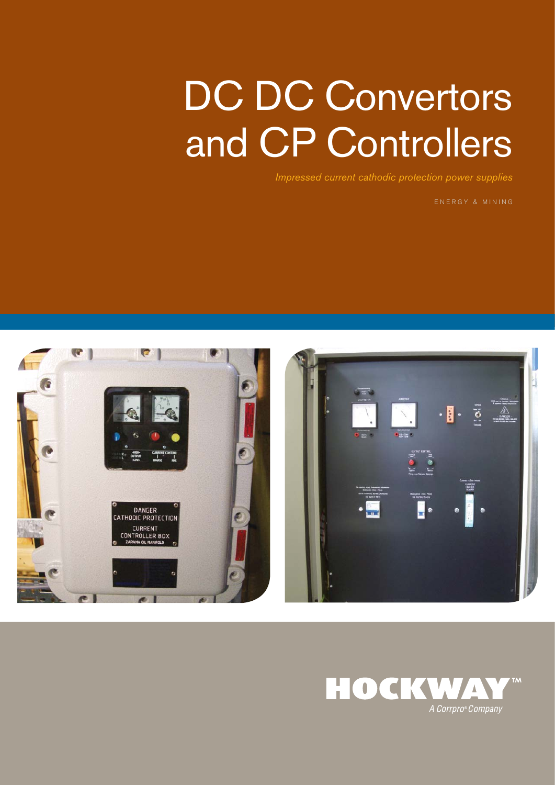# DC DC Convertors and CP Controllers

*Impressed current cathodic protection power supplies*

ENERGY & MINING